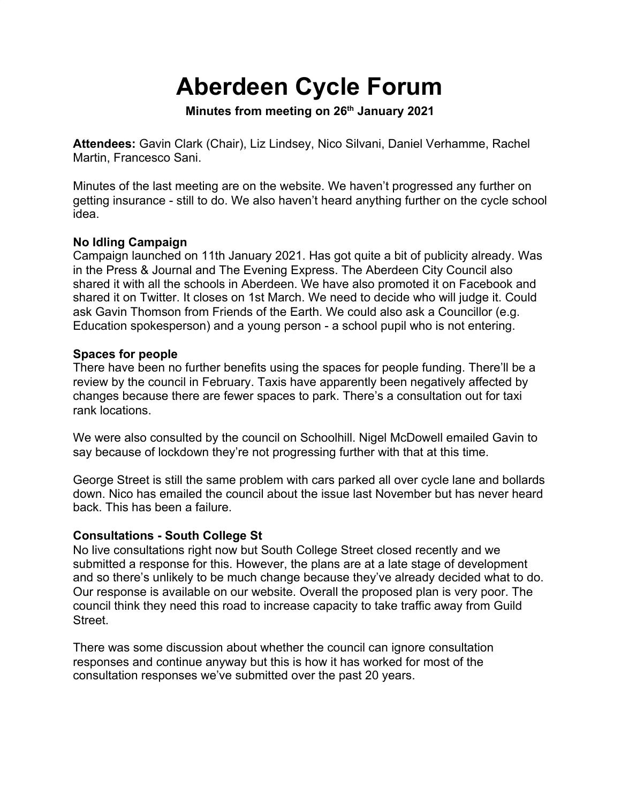# **Aberdeen Cycle Forum**

**Minutes from meeting on 26th January 2021**

**Attendees:** Gavin Clark (Chair), Liz Lindsey, Nico Silvani, Daniel Verhamme, Rachel Martin, Francesco Sani.

Minutes of the last meeting are on the website. We haven't progressed any further on getting insurance - still to do. We also haven't heard anything further on the cycle school idea.

# **No Idling Campaign**

Campaign launched on 11th January 2021. Has got quite a bit of publicity already. Was in the Press & Journal and The Evening Express. The Aberdeen City Council also shared it with all the schools in Aberdeen. We have also promoted it on Facebook and shared it on Twitter. It closes on 1st March. We need to decide who will judge it. Could ask Gavin Thomson from Friends of the Earth. We could also ask a Councillor (e.g. Education spokesperson) and a young person - a school pupil who is not entering.

#### **Spaces for people**

There have been no further benefits using the spaces for people funding. There'll be a review by the council in February. Taxis have apparently been negatively affected by changes because there are fewer spaces to park. There's a consultation out for taxi rank locations.

We were also consulted by the council on Schoolhill. Nigel McDowell emailed Gavin to say because of lockdown they're not progressing further with that at this time.

George Street is still the same problem with cars parked all over cycle lane and bollards down. Nico has emailed the council about the issue last November but has never heard back. This has been a failure.

# **Consultations - South College St**

No live consultations right now but South College Street closed recently and we submitted a response for this. However, the plans are at a late stage of development and so there's unlikely to be much change because they've already decided what to do. Our response is available on our website. Overall the proposed plan is very poor. The council think they need this road to increase capacity to take traffic away from Guild Street.

There was some discussion about whether the council can ignore consultation responses and continue anyway but this is how it has worked for most of the consultation responses we've submitted over the past 20 years.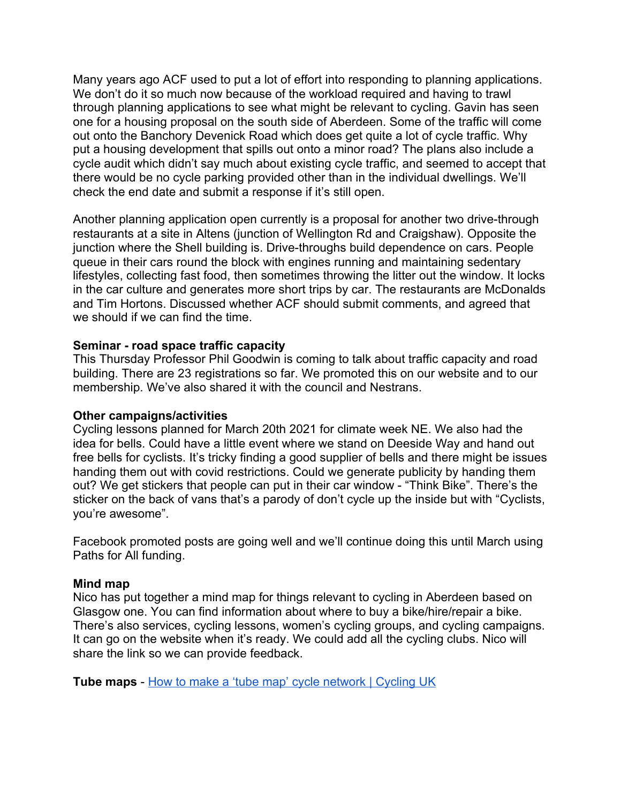Many years ago ACF used to put a lot of effort into responding to planning applications. We don't do it so much now because of the workload required and having to trawl through planning applications to see what might be relevant to cycling. Gavin has seen one for a housing proposal on the south side of Aberdeen. Some of the traffic will come out onto the Banchory Devenick Road which does get quite a lot of cycle traffic. Why put a housing development that spills out onto a minor road? The plans also include a cycle audit which didn't say much about existing cycle traffic, and seemed to accept that there would be no cycle parking provided other than in the individual dwellings. We'll check the end date and submit a response if it's still open.

Another planning application open currently is a proposal for another two drive-through restaurants at a site in Altens (junction of Wellington Rd and Craigshaw). Opposite the junction where the Shell building is. Drive-throughs build dependence on cars. People queue in their cars round the block with engines running and maintaining sedentary lifestyles, collecting fast food, then sometimes throwing the litter out the window. It locks in the car culture and generates more short trips by car. The restaurants are McDonalds and Tim Hortons. Discussed whether ACF should submit comments, and agreed that we should if we can find the time.

# **Seminar - road space traffic capacity**

This Thursday Professor Phil Goodwin is coming to talk about traffic capacity and road building. There are 23 registrations so far. We promoted this on our website and to our membership. We've also shared it with the council and Nestrans.

#### **Other campaigns/activities**

Cycling lessons planned for March 20th 2021 for climate week NE. We also had the idea for bells. Could have a little event where we stand on Deeside Way and hand out free bells for cyclists. It's tricky finding a good supplier of bells and there might be issues handing them out with covid restrictions. Could we generate publicity by handing them out? We get stickers that people can put in their car window - "Think Bike". There's the sticker on the back of vans that's a parody of don't cycle up the inside but with "Cyclists, you're awesome".

Facebook promoted posts are going well and we'll continue doing this until March using Paths for All funding.

#### **Mind map**

Nico has put together a mind map for things relevant to cycling in Aberdeen based on Glasgow one. You can find information about where to buy a bike/hire/repair a bike. There's also services, cycling lessons, women's cycling groups, and cycling campaigns. It can go on the website when it's ready. We could add all the cycling clubs. Nico will share the link so we can provide feedback.

**Tube maps** - [How to make a 'tube map' cycle network | Cycling UK](https://www.cyclinguk.org/guide/make-tube-map-cycle-network)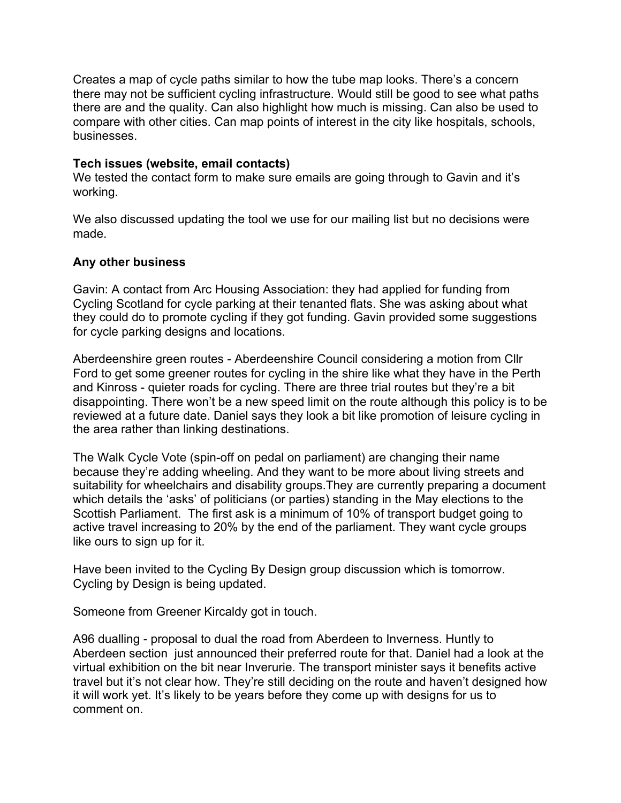Creates a map of cycle paths similar to how the tube map looks. There's a concern there may not be sufficient cycling infrastructure. Would still be good to see what paths there are and the quality. Can also highlight how much is missing. Can also be used to compare with other cities. Can map points of interest in the city like hospitals, schools, businesses.

### **Tech issues (website, email contacts)**

We tested the contact form to make sure emails are going through to Gavin and it's working.

We also discussed updating the tool we use for our mailing list but no decisions were made.

#### **Any other business**

Gavin: A contact from Arc Housing Association: they had applied for funding from Cycling Scotland for cycle parking at their tenanted flats. She was asking about what they could do to promote cycling if they got funding. Gavin provided some suggestions for cycle parking designs and locations.

Aberdeenshire green routes - Aberdeenshire Council considering a motion from Cllr Ford to get some greener routes for cycling in the shire like what they have in the Perth and Kinross - quieter roads for cycling. There are three trial routes but they're a bit disappointing. There won't be a new speed limit on the route although this policy is to be reviewed at a future date. Daniel says they look a bit like promotion of leisure cycling in the area rather than linking destinations.

The Walk Cycle Vote (spin-off on pedal on parliament) are changing their name because they're adding wheeling. And they want to be more about living streets and suitability for wheelchairs and disability groups.They are currently preparing a document which details the 'asks' of politicians (or parties) standing in the May elections to the Scottish Parliament. The first ask is a minimum of 10% of transport budget going to active travel increasing to 20% by the end of the parliament. They want cycle groups like ours to sign up for it.

Have been invited to the Cycling By Design group discussion which is tomorrow. Cycling by Design is being updated.

Someone from Greener Kircaldy got in touch.

A96 dualling - proposal to dual the road from Aberdeen to Inverness. Huntly to Aberdeen section just announced their preferred route for that. Daniel had a look at the virtual exhibition on the bit near Inverurie. The transport minister says it benefits active travel but it's not clear how. They're still deciding on the route and haven't designed how it will work yet. It's likely to be years before they come up with designs for us to comment on.